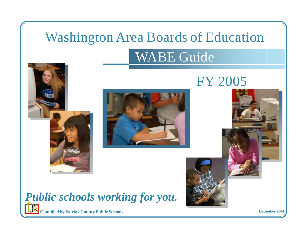# Washington Area Boards of Education WABE Guide







# *Public schools working for you.*

**Compiled by Fairfax County Public Schools December 2004**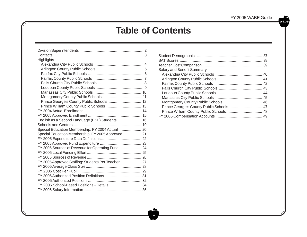### **Table of Contents**

| <b>Highlights</b>                                   |
|-----------------------------------------------------|
|                                                     |
|                                                     |
|                                                     |
|                                                     |
|                                                     |
|                                                     |
|                                                     |
|                                                     |
| Prince George's County Public Schools  12           |
|                                                     |
|                                                     |
|                                                     |
| English as a Second Language (ESL) Students  16     |
|                                                     |
| Special Education Membership, FY 2004 Actual  20    |
| Special Education Membership, FY 2005 Approved 21   |
|                                                     |
|                                                     |
| FY 2005 Sources of Revenue for Operating Fund  24   |
|                                                     |
|                                                     |
| FY 2005 Approved Staffing: Students Per Teacher  27 |
|                                                     |
|                                                     |
|                                                     |
|                                                     |
| FY 2005 School-Based Positions - Details  34        |
|                                                     |

| <b>Salary and Benefit Summary</b> |  |
|-----------------------------------|--|
|                                   |  |
|                                   |  |
|                                   |  |
|                                   |  |
|                                   |  |
|                                   |  |
|                                   |  |
|                                   |  |
|                                   |  |
|                                   |  |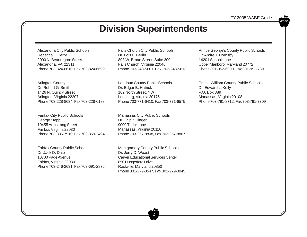### **Division Superintendents**

Alexandria City Public Schools Rebecca L. Perry 2000 N. Beauregard Street Alexandria, VA 22311 Phone 703-824-6610, Fax 703-824-6699

Arlington County Dr. Robert G. Smith 1426 N. Quincy Street Arlington, Virginia 22207 Phone 703-228-8634, Fax 703-228-6188

Fairfax City Public Schools George Stepp 10455 Armstrong Street Fairfax, Virginia 22030 Phone 703-385-7910, Fax 703-359-2494

Fairfax County Public Schools Dr. Jack D. Dale 10700 Page Avenue Fairfax, Virginia 22030 Phone 703-246-2631, Fax 703-691-2876 Falls Church City Public Schools Dr. Lois F. Berlin 803 W. Broad Street, Suite 300 Falls Church, Virginia 22046 Phone 703-248-5601, Fax 703-248-5613

Loudoun County Public Schools Dr. Edgar B. Hatrick 102 North Street, NW Leesburg, Virginia 20176 Phone 703-771-6410, Fax 703-771-6575

Manassas City Public Schools Dr. Chip Zullinger 9000 Tudor Lane Manassas, Virginia 20110 Phone 703-257-8808, Fax 703-257-8807

Montgomery County Public Schools Dr. Jerry D. Weast Carver Educational Services Center 850 Hungerford Drive Rockville, Maryland 20850 Phone 301-279-3547, Fax 301-279-3045 Prince George's County Public Schools Dr. Andre J. Hornsby 14201 School Lane Upper Marlboro, Maryland 20772 Phone 301-952-6000, Fax 301-952-7891

Prince William County Public Schools Dr. Edward L. Kelly P.O. Box 389 Manassas, Virginia 20108 Phone 703-791-8712, Fax 703-791-7309 **wabe**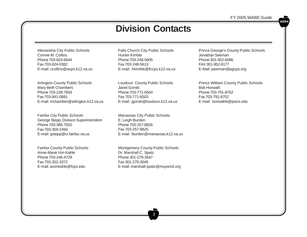### **Division Contacts**

Alexandria City Public Schools Connie M. Collins Phone 703-824-6644 Fax 703-824-0382 E-mail: ccollins@acps.k12.va.us

Arlington County Public Schools Mary Beth Chambers Phone 703-228-7654 Fax 703-841-0681 E-mail: mchamber@arlington.k12.va.us

Fairfax City Public Schools George Stepp, Division Superintendent Phone 703-385-7910 Fax 703-359-2494 E-mail: gstepp@ci.fairfax.va.us

Fairfax County Public Schools Anne-Marie Von Kahle Phone 703-246-4729 Fax 703-352-3372 E-mail: avonkahle@fcps.edu

Falls Church City Public Schools Hunter Kimble Phone 703-248-5605 Fax 703-248-5613 E-mail: hkimble@fccps.k12.va.us

Loudoun County Public Schools Janet Gorski Phone 703-771-6504 Fax 703-771-6503 E-mail: jgorski@loudoun.k12.va.us

Manassas City Public Schools E. Leigh Burden Phone 703-257-8826 Fax 703-257-8825 E-mail: lburden@manassas.k12.va.us

Montgomery County Public Schools Dr. Marshall C. Spatz Phone 301-279-3547 Fax 301-279-3045 E-mail: marshall-spatz@mcpsmd.org Prince George's County Public Schools Jonathan Seeman Phone 301-952-6096 FAX 301-952-6177 E-Mail: jseeman@pgcps.org

Prince William County Public Schools Bob Horwath Phone 703-791-8762 Fax 703-791-8752 E-mail: horwathb@pwcs.edu

**wabe**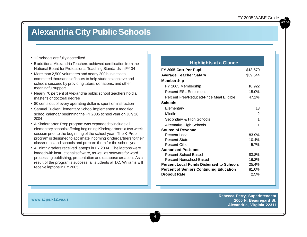### **Alexandria City Public Schools**

- 12 schools are fully accredited
- 5 additional Alexandria Teachers achieved certification from the National Board for Professional Teaching Standards in FY 04
- More than 2,500 volunteers and nearly 200 businesses committed thousands of hours to help students achieve and schools succeed by providing tutors, donations, and other meaningful support
- Nearly 70 percent of Alexandria public school teachers hold a master's or doctoral degree
- 80 cents out of every operating dollar is spent on instruction
- Samuel Tucker Elementary School implemented a modified school calendar beginning the FY 2005 school year on July 26, 2004
- A Kindergarten Prep program was expanded to include all elementary schools offering beginning Kindergartners a two week session prior to the beginning of the school year. The K-Prep program is designed to acclimate incoming kindergartners to their classrooms and schools and prepare them for the school year.
- All ninth graders received laptops in FY 2004. The laptops were loaded with instructional software, as well as software for word processing publishing, presentation and database creation. As a result of the program's success, all students at T.C. Williams will receive laptops in FY 2005

#### **Highlights at a Glance**

| FY 2005 Cost Per Pupil                          | \$13,670       |
|-------------------------------------------------|----------------|
| Average Teacher Salary                          | \$59,644       |
| Membership                                      |                |
| FY 2005 Membership                              | 10,922         |
| <b>Percent ESL Enrollment</b>                   | 15.0%          |
| Percent Free/Reduced-Price Meal Eligible        | 47.1%          |
| <b>Schools</b>                                  |                |
| Elementary                                      | 13             |
| Middle                                          | $\overline{2}$ |
| Secondary & High Schools                        | 1              |
| Alternative High Schools                        | 1              |
| <b>Source of Revenue</b>                        |                |
| Percent Local                                   | 83.9%          |
| <b>Percent State</b>                            | 10.4%          |
| <b>Percent Other</b>                            | 5.7%           |
| <b>Authorized Positions</b>                     |                |
| Percent School-Based                            | 83.8%          |
| Percent Nonschool-Based                         | 16.2%          |
| <b>Percent Local Funds Disbursed to Schools</b> | 25.4%          |
| <b>Percent of Seniors Continuing Education</b>  | 81.0%          |
| <b>Dropout Rate</b>                             | 2.5%           |

4

**www.acps.k12.va.us Rebecca Perry, Superintendent 2000 N. Beauregard St. Alexandria, Virginia 22311**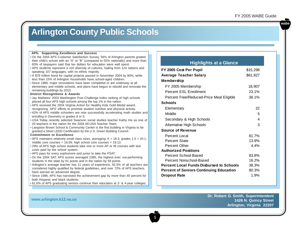### **Arlington County Public Schools**

#### **APS:** Supporting Excellence and Success

| . On the 2004 APS Customer Satisfaction Survey, 94% of Arlington parents graded<br>their child's school with an "A" or "B" (compared to 55% nationally) and more than                                                                                                                                                                                                                                                                                                                                                                                                                                                                                                                                                                                                                                                                                                                                                                                                                                                                                                                                                                                                                                                                                                                                                                                                                                                                                                                                                                                                                                                                                                                                                                                                                                                                                                                                                                                                                                                                                                                                                                                                                                                                                                                | <b>Highlights at a Glance</b>                                                                                                                                                                                                                                                                                                                                                                                                                                                                                                                                                  |                                                                                                                                             |
|--------------------------------------------------------------------------------------------------------------------------------------------------------------------------------------------------------------------------------------------------------------------------------------------------------------------------------------------------------------------------------------------------------------------------------------------------------------------------------------------------------------------------------------------------------------------------------------------------------------------------------------------------------------------------------------------------------------------------------------------------------------------------------------------------------------------------------------------------------------------------------------------------------------------------------------------------------------------------------------------------------------------------------------------------------------------------------------------------------------------------------------------------------------------------------------------------------------------------------------------------------------------------------------------------------------------------------------------------------------------------------------------------------------------------------------------------------------------------------------------------------------------------------------------------------------------------------------------------------------------------------------------------------------------------------------------------------------------------------------------------------------------------------------------------------------------------------------------------------------------------------------------------------------------------------------------------------------------------------------------------------------------------------------------------------------------------------------------------------------------------------------------------------------------------------------------------------------------------------------------------------------------------------------|--------------------------------------------------------------------------------------------------------------------------------------------------------------------------------------------------------------------------------------------------------------------------------------------------------------------------------------------------------------------------------------------------------------------------------------------------------------------------------------------------------------------------------------------------------------------------------|---------------------------------------------------------------------------------------------------------------------------------------------|
| 83% of taxpayers said that tax dollars for education were well spent.<br>• APS students represent a rich diversity of cultures, hailing from 124 nations and<br>speaking 107 languages, with no ethnic majority.<br>• A \$79 million bond for capital projects passed in November 2004 by 80%, while<br>less than 15% of Arlington households have school-aged children.<br>• Since 1988, major renovations have been completed or are underway at all<br>elementary and middle schools, and plans have begun to rebuild and renovate the<br>remaining buildings by 2010.<br><b>District Recognitions &amp; Awards</b><br>• Jay Mathews' 2003 Washington Post Challenge Index ranking of high schools<br>placed all four APS high schools among the top 1% in the nation.<br>• APS received the 2004 Virginia Action for Healthy Kids Gold Medal award,<br>recognizing APS' efforts to promote student nutrition and physical activity.<br>• 42% of APS middle schoolers are now successfully accelerating math studies and<br>enrolling in Geometry in grades 8 or 9.<br>. USA Today recently selected Swanson social studies teacher Kathy Hix as one of<br>20 teachers in the nation for the 2004 All-USA Teacher Team.<br>• Langston Brown School & Community Center is the first building in Virginia to be<br>granted a Silver LEED Certification by the U.S. Green Building Council.<br><b>Commitment to Excellence</b><br>• APS maintains relatively small class sizes, averaging: $K = 18.3$ ; grades $1-5 = 20.1$ ;<br>middle core courses = $18.09$ ; high school core courses = $19.13$ .<br>. 29% of APS high school students take one or more AP or IB courses with test<br>costs paid by the school system.<br>• APS pays for every sophomore and junior to take the PSAT.<br>. On the 2004 SAT, APS scores averaged 1085, the highest ever, out-performing<br>students in the state by 61 points and in the nation by 59 points.<br>. Arlington's average teacher has 11 years of experience, 92.5% of all teachers are<br>considered highly qualified by federal guidelines, and over 72% of APS teachers<br>have earned an advanced degree.<br>. Since 1998, APS has narrowed the achievement gap by more than 40 percent for<br>both Hispanic and black students. | FY 2005 Cost Per Pupil<br><b>Average Teacher Salary</b><br>Membership<br>FY 2005 Membership<br><b>Percent ESL Enrollment</b><br>Percent Free/Reduced-Price Meal Eligible<br><b>Schools</b><br>Elementary<br>Middle<br>Secondary & High Schools<br>Alternative High Schools<br><b>Source of Revenue</b><br>Percent Local<br><b>Percent State</b><br>Percent Other<br><b>Authorized Positions</b><br>Percent School-Based<br>Percent Nonschool-Based<br><b>Percent Local Funds Disbursed to Schools</b><br><b>Percent of Seniors Continuing Education</b><br><b>Dropout Rate</b> | \$15,298<br>\$61,827<br>18,907<br>23.1%<br>36.1%<br>22<br>5<br>4<br>3<br>81.7%<br>13.9%<br>4.4%<br>83.8%<br>16.2%<br>38.3%<br>80.3%<br>1.9% |
| • 81.6% of APS graduating seniors continue their education at 2- & 4-year colleges.                                                                                                                                                                                                                                                                                                                                                                                                                                                                                                                                                                                                                                                                                                                                                                                                                                                                                                                                                                                                                                                                                                                                                                                                                                                                                                                                                                                                                                                                                                                                                                                                                                                                                                                                                                                                                                                                                                                                                                                                                                                                                                                                                                                                  |                                                                                                                                                                                                                                                                                                                                                                                                                                                                                                                                                                                |                                                                                                                                             |

5

#### **2005 Cost Per Pupil** \$15,298 **Prage Teacher Salary 661,827 Membership**  FY 2005 Membership 18,907 Percent ESL Enrollment 23.1% Percent Free/Reduced-Price Meal Eligible 36.1% **Schools**  Elementary 22 Middle 5 Secondary & High Schools 4 Alternative High Schools 3 **Source of Revenue** Percent Local 81.7% Percent State 13.9% Percent Other **4.4% thorized Positions** Percent School-Based 83.8% Percent Nonschool-Based 16.2% 38.3% **Pricent of Seniors Continuing Education** 80.3% **Highlights at a Glance Preament Local Funds Disbursed to Schools**

**www.arlington.k12.va.us Dr. Robert G. Smith, Superintendent 1426 N. Quincy Street Arlington, Virginia 22207**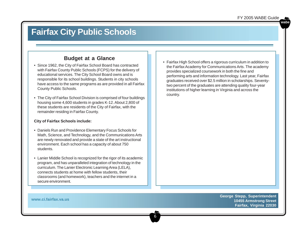### **Fairfax City Public Schools**

#### **Budget at a Glance**

- Since 1962, the City of Fairfax School Board has contracted with Fairfax County Public Schools (FCPS) for the delivery of educational services. The City School Board owns and is responsible for its school buildings. Students in city schools have access to the same programs as are provided in all Fairfax County Public Schools.
- The City of Fairfax School Division is comprised of four buildings housing some 4,600 students in grades K-12. About 2,800 of these students are residents of the City of Fairfax, with the remainder residing in Fairfax County.

#### **City of Fairfax Schools include:**

- Daniels Run and Providence Elementary Focus Schools for Math, Science, and Technology, and the Communications Arts are newly renovated and provide a state of the art instructional environment. Each school has a capacity of about 750 students.
- Lanier Middle School is recognized for the rigor of its academic program, and has unparalleled integration of technology in the curriculum. The Lanier Electronic Learning Area (LELA), connects students at home with fellow students, their classrooms (and homework), teachers and the internet in a secure environment.

6

• Fairfax High School offers a rigorous curriculum in addition to the Fairfax Academy for Communications Arts. The academy provides specialized coursework in both the fine and performing arts and information technology. Last year, Fairfax graduates received over \$2.5 million in scholarships. Seventytwo percent of the graduates are attending quality four-year institutions of higher learning in Virginia and across the country.

**www.ci.fairfax.va.us George Stepp, Superintendent 10455 Armstrong Street Fairfax, Virginia 22030**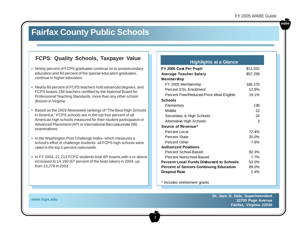### **Fairfax County Public Schools**

#### **FCPS: Quality Schools, Taxpayer Value**

- Ninety percent of FCPS graduates continue on to postsecondary education and 60 percent of the special education graduates, continue in higher education.
- Nearly 60 percent of FCPS teachers hold advanced degrees, and FCPS boasts 184 teachers certified by the National Board for Professional Teaching Standards, more than any other school division in Virginia.
- Based on the 2003 *Newsweek* rankings of "The Best High Schools in America," FCPS schools are in the top four percent of all American high schools measured for their student participation in Advanced Placement (AP) or International Baccalaureate (IB) examinations.
- In the Washington Post Challenge Index- which measures a school's effort to challenge students- all FCPS high schools were rated in the top 5 percent nationwide.
- In FY 2004, 21,213 FCPS students took AP exams,with e or above increased to 14,190 (67 percent of the tests taken) in 2004, up from 13,278 in 2003.

#### **Highlights at a Glance**

| FY 2005 Cost Per Pupil                          | \$11,022 |
|-------------------------------------------------|----------|
| <b>Average Teacher Salary</b>                   | \$57,258 |
| Membership                                      |          |
| FY 2005 Membership                              | 166,275  |
| Percent ESL Enrollment                          | 12.8%    |
| Percent Free/Reduced-Price Meal Eligible        | 19.1%    |
| <b>Schools</b>                                  |          |
| Elementary                                      | 136      |
| Middle                                          | 22       |
| Secondary & High Schools                        | 24       |
| <b>Alternative High Schools</b>                 | 3        |
| Source of Revenue*                              |          |
| Percent Local                                   | 72.4%    |
| Percent State                                   | 20.0%    |
| Percent Other                                   | 7.6%     |
| <b>Authorized Positions</b>                     |          |
| Percent School-Based                            | 92.3%    |
| Percent Nonschool-Based                         | 7.7%     |
| <b>Percent Local Funds Disbursed to Schools</b> | 53.0%    |
| <b>Percent of Seniors Continuing Education</b>  | 89.0%    |
| <b>Dropout Rate</b>                             | 2.4%     |

\* Includes entitlement grants

7

**Dr. Jack D. Dale, Superintendent 10700 Page Avenue Fairfax, Virginia 22030**

#### **www.fcps.edu**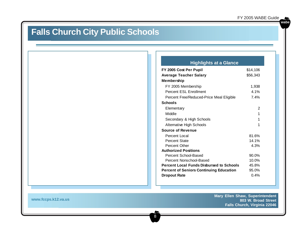### **Falls Church City Public Schools**

**FY 2005 Cost Per Pupil** \$14,106 Average Teacher Salary **\$56,343 Membership**  FY 2005 Membership 1,938 Percent ESL Enrollment 4.1% Percent Free/Reduced-Price Meal Eligible 7.4% **Schools**  Elementary 2 Middle 2012 12:00:00 12:00:00 12:00:00 12:00:00 12:00:00 12:00:00 12:00:00 12:00:00 12:00:00 12:00:00 12:00:00 Secondary & High Schools 1 Alternative High Schools 1 **Source of Revenue** Percent Local 81.6% Percent State 14.1% Percent Other 4.3% **Authorized Positions** Percent School-Based 90.0% Percent Nonschool-Based 10.0% 45.8% **Percent of Seniors Continuing Education** 95.0% **Dropout Rate** 0.4% **Highlights at a Glance Percent Local Funds Disbursed to Schools**

8

**www.fccps.k12.va.us Mary Ellen Shaw, Superintendent 803 W. Broad Street Falls Church, Virginia 22046**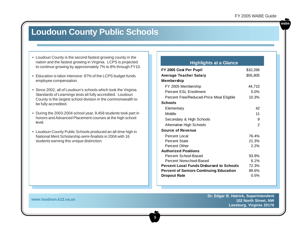### **Loudoun County Public Schools**

- Loudoun County is the second fastest growing county in the nation and the fastest growing in Virginia. LCPS is projected to continue growing by approximately 7% to 8% through FY10.
- Education is labor intensive: 87% of the LCPS budget funds employee compensation.
- Since 2002, all of Loudoun's schools which took the Virginia Standards of Learnings tests all fully accredited. Loudoun County is the largest school division in the commonwealth to be fully accredited.
- During the 2003-2004 school year, 9,458 students took part in honors and Advanced Placement courses at the high school level.
- Loudoun County Public Schools produced an all-time high in National Merit Scholarship semi-finalists in 2004 with 16 students earning this unique distinction.

#### **Highlights at a Glance**

| FY 2005 Cost Per Pupil                          | \$10,266       |
|-------------------------------------------------|----------------|
| <b>Average Teacher Salary</b>                   | \$55,805       |
| Membership                                      |                |
| FY 2005 Membership                              | 44,715         |
| <b>Percent ESL Enrollment</b>                   | 5.0%           |
| Percent Free/Reduced-Price Meal Eligible        | 10.3%          |
| <b>Schools</b>                                  |                |
| Elementary                                      | 42             |
| Middle                                          | 11             |
| Secondary & High Schools                        | 9              |
| Alternative High Schools                        | $\mathfrak{p}$ |
| <b>Source of Revenue</b>                        |                |
| Percent Local                                   | 76.4%          |
| <b>Percent State</b>                            | 21.3%          |
| <b>Percent Other</b>                            | 2.2%           |
| <b>Authorized Positions</b>                     |                |
| Percent School-Based                            | 93.9%          |
| Percent Nonschool-Based                         | 6.1%           |
| <b>Percent Local Funds Disbursed to Schools</b> | 72.3%          |
| <b>Percent of Seniors Continuing Education</b>  | 89.6%          |
| <b>Dropout Rate</b>                             | 0.5%           |

9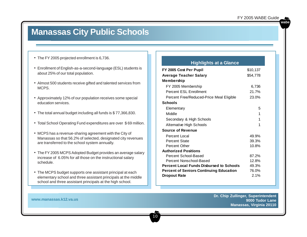### **Manassas City Public Schools**

- The FY 2005 projected enrollment is 6,736.
- Enrollment of English-as-a-second-language (ESL) students is about 25% of our total population.
- Almost 500 students receive gifted and talented services from MCPS.
- Approximately 12% of our population receives some special education services.
- The total annual budget including all funds is \$ 77,366,830.
- Total School Operating Fund expenditures are over \$ 69 million.
- MCPS has a revenue-sharing agreement with the City of Manassas so that 56.2% of selected, designated city revenues are transferred to the school system annually.
- The FY 2005 MCPS Adopted Budget provides an average salary increase of 6.05% for all those on the instructional salary schedule.
- The MCPS budget supports one assistant principal at each elementary school and three assistant principals at the middle school and three assistant principals at the high school.

10

#### **Highlights at a Glance**

| FY 2005 Cost Per Pupil                          | \$10,137 |
|-------------------------------------------------|----------|
| Average Teacher Salary                          | \$54,778 |
| Membership                                      |          |
| FY 2005 Membership                              | 6,736    |
| <b>Percent ESL Enrollment</b>                   | 21.7%    |
| Percent Free/Reduced-Price Meal Eligible        | 23.0%    |
| Schools                                         |          |
| Elementary                                      | 5        |
| Middle                                          | 1        |
| Secondary & High Schools                        | 1        |
| <b>Alternative High Schools</b>                 | 1        |
| <b>Source of Revenue</b>                        |          |
| Percent Local                                   | 49.9%    |
| Percent State                                   | 39.3%    |
| <b>Percent Other</b>                            | 10.8%    |
| <b>Authorized Positions</b>                     |          |
| Percent School-Based                            | 87.2%    |
| Percent Nonschool-Based                         | 12.8%    |
| <b>Percent Local Funds Disbursed to Schools</b> | 49.3%    |
| <b>Percent of Seniors Continuing Education</b>  | 76.0%    |
| <b>Dropout Rate</b>                             | 2.1%     |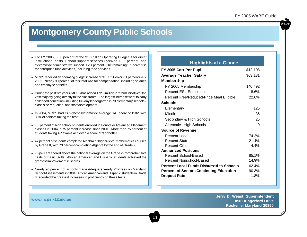### **Montgomery County Public Schools**

- For FY 2005, 80.6 percent of the \$1.6 billion Operating Budget is for direct instructional costs. School support services received 13.9 percent, and systemwide administrative support is 2.4 percent. The remaining 3.1 percent is for enterprise fund activities, including food services.
- MCPS received an operating budget increase of \$107 million or 7.1 percent in FY 2005. Nearly 90 percent of this total was for compensation, including salaries and employee benefits.
- During the past five years, MCPS has added \$72.0 million in reform initiatives, the vast majority going directly to the classroom. The largest increase went to early childhood education (including full-day kindergarten in 73 elementary schools), class size reduction, and staff development.
- In 2004, MCPS had its highest systemwide average SAT score of 1102, with 80% of seniors taking the test.
- 65 percent of high school students enrolled in Honors or Advanced Placement classes in 2004, a 75 percent increase since 2001. More than 75 percent of students taking AP exams achieved a score of 3 or better.
- 47 percent of students completed Algebra or higher-level mathematics courses by Grade 8, with 73 percent completing Algebra by the end of Grade 9.
- 75 percent scored above the national average on the Grade 2 Comprehensive Tests of Basic Skills. African American and Hispanic students achieved the greatest improvement in scores.
- Nearly 90 percent of schools made Adequate Yearly Progress on Maryland School Assessments in 2004. African American and Hispanic students in Grade 3 recorded the greatest increases in proficiency on these tests.

11

#### **Highlights at a Glance**

| FY 2005 Cost Per Pupil                          | \$12,108 |
|-------------------------------------------------|----------|
| <b>Average Teacher Salary</b>                   | \$63,131 |
| Membership                                      |          |
| FY 2005 Membership                              | 140,492  |
| Percent ESL Enrollment                          | 8.6%     |
| Percent Free/Reduced-Price Meal Eligible        | 22.6%    |
| Schools                                         |          |
| Elementary                                      | 125      |
| Middle                                          | 36       |
| Secondary & High Schools                        | 25       |
| Alternative High Schools                        | 0        |
| <b>Source of Revenue</b>                        |          |
| Percent Local                                   | 74.2%    |
| Percent State                                   | 21.4%    |
| <b>Percent Other</b>                            | 4.4%     |
| <b>Authorized Positions</b>                     |          |
| Percent School-Based                            | 85.1%    |
| Percent Nonschool-Based                         | 14.9%    |
| <b>Percent Local Funds Disbursed to Schools</b> | 62.4%    |
| <b>Percent of Seniors Continuing Education</b>  | 90.3%    |
| <b>Dropout Rate</b>                             | 1.8%     |

**www.mcps.k12.md.us Jerry D. Weast, Superintendent 850 Hungerford Drive Rockville, Maryland 20850**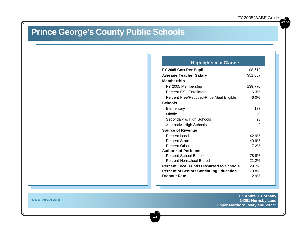### **Prince George's County Public Schools**

### **Highlights at a Glance**

| FY 2005 Cost Per Pupil                          | \$8,612  |
|-------------------------------------------------|----------|
| <b>Average Teacher Salary</b>                   | \$51,087 |
| Membership                                      |          |
| FY 2005 Membership                              | 139,770  |
| Percent ESL Enrollment                          | 6.3%     |
| Percent Free/Reduced-Price Meal Eligible        | 46.0%    |
| Schools                                         |          |
| Elementary                                      | 137      |
| Middle                                          | 26       |
| Secondary & High Schools                        | 23       |
| <b>Alternative High Schools</b>                 | 2        |
| <b>Source of Revenue</b>                        |          |
| Percent Local                                   | 42.9%    |
| <b>Percent State</b>                            | 49.9%    |
| <b>Percent Other</b>                            | 7.2%     |
| <b>Authorized Positions</b>                     |          |
| Percent School-Based                            | 78.8%    |
| Percent Nonschool-Based                         | 21.2%    |
| <b>Percent Local Funds Disbursed to Schools</b> | 29.7%    |
| <b>Percent of Seniors Continuing Education</b>  | 70.8%    |
| <b>Dropout Rate</b>                             | 2.9%     |

12

**www.pgcps.org**

**Dr. Andre J. Hornsby 14201 Hornsby Lane Upper Marlboro, Maryland 20772**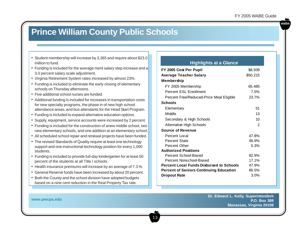### **Prince William County Public Schools**

- Student membership will increase by 3,365 and require about \$23.0 million to fund.
- Funding is included for the average merit salary step increase and a 3.0 percent salary scale adjustment.
- Virginia Retirement System rates increased by almost 23%.
- Funding is included to eliminate the early closing of elementary schools on Thursday afternoons.
- Five additional school nurses are funded.
- Additional funding is included for increases in transportation costs for new specialty programs, the phase in of new high school attendance areas, and bus attendants for the Head Start Program.
- Funding is included to expand alternative education options.
- Supply, equipment, service accounts were increased by 2 percent.
- Funding is included for the construction of anew middle school, two new elementary schools, and one addition at an elementary school.
- All scheduled school repair and renewal projects have been funded.
- The revised Standards of Quality require at least one technology support and one instructional technology position for every 1,000 students.
- Funding is included to provide full-day kindergarten for at least 50 percent of the students at all Title I schools.
- Health insurance premiums will increase by an average of 7.3 %.
- General Reserve funds have been increased by about 20 percent.
- Both the County and the school division have adopted budgets based on a nine cent reduction in the Real Property Tax rate.

#### **FY 2005 Cost Per Pupil** \$8,939 **Average Teacher Salary \$50,215 Membership**  FY 2005 Membership 65,485 Percent ESL Enrollment 7.5% Percent Free/Reduced-Price Meal Eligible 23.7% **Schools**  Elementary 51 Middle 13 Secondary & High Schools 10 Alternative High Schools 2 **Source of Revenue** Percent Local 47.8% Percent State 46.9% Percent Other 5.3% **Authorized Positions** Percent School-Based 82.9% Percent Nonschool-Based 17.1% 47.9% **Highlights at a Glance Percent Local Funds Disbursed to Schools**

**Percent of Seniors Continuing Education** 86.5% **Dropout Rate** 3.0%

13

**www.pwcps.edu Dr. Edward L. Kelly, Superintendent P.O. Box 389 Manassas, Virginia 20108**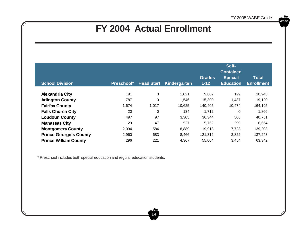### **FY 2004 Actual Enrollment**

|                               |            |                   |              |               | Self-            |                   |
|-------------------------------|------------|-------------------|--------------|---------------|------------------|-------------------|
|                               |            |                   |              |               | <b>Contained</b> |                   |
|                               |            |                   |              | <b>Grades</b> | <b>Special</b>   | Total             |
| <b>School Division</b>        | Preschool* | <b>Head Start</b> | Kindergarten | $1 - 12$      | <b>Education</b> | <b>Enrollment</b> |
|                               |            |                   |              |               |                  |                   |
| <b>Alexandria City</b>        | 191        | $\mathbf 0$       | 1,021        | 9,602         | 129              | 10,943            |
| <b>Arlington County</b>       | 787        | 0                 | 1.546        | 15,300        | 1,487            | 19,120            |
| <b>Fairfax County</b>         | 1,674      | 1,017             | 10,625       | 140,405       | 10,474           | 164,195           |
| <b>Falls Church City</b>      | 20         | 0                 | 134          | 1.712         | 0                | 1,866             |
| <b>Loudoun County</b>         | 497        | 97                | 3,305        | 36,344        | 508              | 40,751            |
| <b>Manassas City</b>          | 29         | 47                | 527          | 5.762         | 299              | 6,664             |
| <b>Montgomery County</b>      | 2,094      | 584               | 8,889        | 119,913       | 7,723            | 139,203           |
| <b>Prince George's County</b> | 2,960      | 683               | 8,466        | 121,312       | 3,822            | 137,243           |
| <b>Prince William County</b>  | 296        | 221               | 4,367        | 55,004        | 3,454            | 63,342            |

\* Preschool includes both special education and regular education students.

14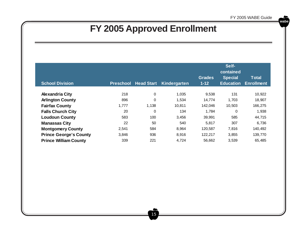## **FY 2005 Approved Enrollment**

|                               |       |                             |              | Self-         |                             |                   |
|-------------------------------|-------|-----------------------------|--------------|---------------|-----------------------------|-------------------|
|                               |       |                             |              | <b>Grades</b> | contained<br><b>Special</b> | <b>Total</b>      |
| <b>School Division</b>        |       | <b>Preschool Head Start</b> | Kindergarten | $1 - 12$      | <b>Education</b>            | <b>Enrollment</b> |
| <b>Alexandria City</b>        | 218   | 0                           | 1,035        | 9,538         | 131                         | 10,922            |
| <b>Arlington County</b>       | 896   | $\Omega$                    | 1,534        | 14,774        | 1,703                       | 18,907            |
| <b>Fairfax County</b>         | 1,777 | 1,138                       | 10,811       | 142.046       | 10,503                      | 166,275           |
| <b>Falls Church City</b>      | 20    | $\Omega$                    | 134          | 1,784         | $\mathbf 0$                 | 1,938             |
| <b>Loudoun County</b>         | 583   | 100                         | 3,456        | 39,991        | 585                         | 44,715            |
| <b>Manassas City</b>          | 22    | 50                          | 540          | 5,817         | 307                         | 6,736             |
| <b>Montgomery County</b>      | 2,541 | 584                         | 8,964        | 120,587       | 7,816                       | 140,492           |
| <b>Prince George's County</b> | 3,846 | 936                         | 8,916        | 122,217       | 3,855                       | 139,770           |
| <b>Prince William County</b>  | 339   | 221                         | 4,724        | 56,662        | 3,539                       | 65,485            |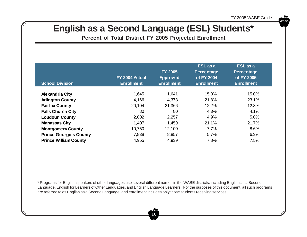### **English as a Second Language (ESL) Students\***

**Percent of Total District FY 2005 Projected Enrollment**

| <b>School Division</b>        | FY 2004 Actual<br><b>Enrollment</b> | <b>FY 2005</b><br><b>Approved</b><br><b>Enrollment</b> | ESL as a<br><b>Percentage</b><br>of FY 2004<br><b>Enrollment</b> | <b>ESL</b> as a<br><b>Percentage</b><br>of FY 2005<br><b>Enrollment</b> |
|-------------------------------|-------------------------------------|--------------------------------------------------------|------------------------------------------------------------------|-------------------------------------------------------------------------|
| <b>Alexandria City</b>        | 1,645                               | 1,641                                                  | 15.0%                                                            | 15.0%                                                                   |
| <b>Arlington County</b>       | 4,166                               | 4,373                                                  | 21.8%                                                            | 23.1%                                                                   |
| <b>Fairfax County</b>         | 20,104                              | 21,366                                                 | 12.2%                                                            | 12.8%                                                                   |
| <b>Falls Church City</b>      | 80                                  | 80                                                     | 4.3%                                                             | 4.1%                                                                    |
| <b>Loudoun County</b>         | 2,002                               | 2,257                                                  | 4.9%                                                             | 5.0%                                                                    |
| <b>Manassas City</b>          | 1,407                               | 1,459                                                  | 21.1%                                                            | 21.7%                                                                   |
| <b>Montgomery County</b>      | 10,750                              | 12,100                                                 | 7.7%                                                             | 8.6%                                                                    |
| <b>Prince George's County</b> | 7,838                               | 8,857                                                  | 5.7%                                                             | 6.3%                                                                    |
| <b>Prince William County</b>  | 4,955                               | 4,939                                                  | 7.8%                                                             | 7.5%                                                                    |

\* Programs for English speakers of other languages use several different names in the WABE districts, including English as a Second Language, English for Learners of Other Languages, and English Language Learners. For the purposes of this document, all such programs are referred to as English as a Second Language, and enrollment includes only those students receiving services.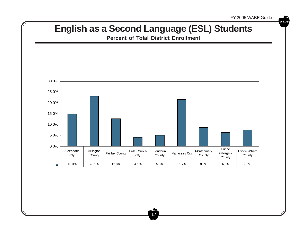### **English as a Second Language (ESL) Students**

**Percent of Total District Enrollment**

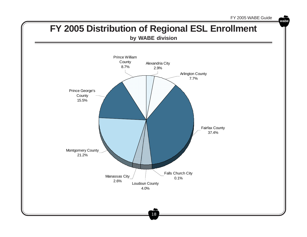FY 2005 WABE Guide

**wabe**

### **FY 2005 Distribution of Regional ESL Enrollment**

**by WABE division**

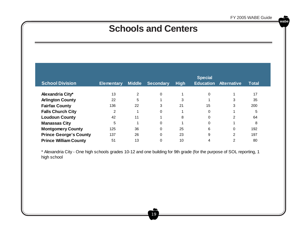### **Schools and Centers**

| <b>School Division</b>        | <b>Elementary</b> | <b>Middle</b>  | <b>Secondary</b> | <b>High</b> | <b>Special</b> | <b>Education Alternative</b> | <b>Total</b> |
|-------------------------------|-------------------|----------------|------------------|-------------|----------------|------------------------------|--------------|
|                               |                   |                |                  |             |                |                              |              |
| Alexandria City*              | 13                | $\overline{2}$ | 0                |             | 0              |                              | 17           |
| <b>Arlington County</b>       | 22                | 5              |                  | 3           | 4              | 3                            | 35           |
| <b>Fairfax County</b>         | 136               | 22             | 3                | 21          | 15             | 3                            | 200          |
| <b>Falls Church City</b>      | 2                 |                | 0                |             | $\Omega$       |                              | 5            |
| <b>Loudoun County</b>         | 42                | 11             | 4                | 8           | 0              | 2                            | 64           |
| <b>Manassas City</b>          | 5                 |                | 0                |             | 0              |                              | 8            |
| <b>Montgomery County</b>      | 125               | 36             | 0                | 25          | 6              | 0                            | 192          |
| <b>Prince George's County</b> | 137               | 26             | 0                | 23          | 9              | 2                            | 197          |
| <b>Prince William County</b>  | 51                | 13             | 0                | 10          | 4              | 2                            | 80           |

\* Alexandria City - One high schools grades 10-12 and one building for 9th grade (for the purpose of SOL reporting, 1 high school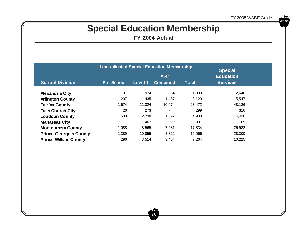## **Special Education Membership**

**FY 2004 Actual**

| <b>Unduplicated Special Education Membership</b><br><b>Special</b> |                                 |         |                  |              |                 |  |  |  |
|--------------------------------------------------------------------|---------------------------------|---------|------------------|--------------|-----------------|--|--|--|
|                                                                    | <b>Education</b><br><b>Self</b> |         |                  |              |                 |  |  |  |
| <b>School Division</b>                                             | <b>Pre-School</b>               | Level 1 | <b>Contained</b> | <b>Total</b> | <b>Services</b> |  |  |  |
| <b>Alexandria City</b>                                             | 191                             | 974     | 834              | 1,999        | 2,640           |  |  |  |
| <b>Arlington County</b>                                            | 207                             | 1,435   | 1,487            | 3,129        | 5,547           |  |  |  |
| <b>Fairfax County</b>                                              | 1,674                           | 11,324  | 10,474           | 23,472       | 48,186          |  |  |  |
| <b>Falls Church City</b>                                           | 26                              | 273     |                  | 299          | 316             |  |  |  |
| <b>Loudoun County</b>                                              | 508                             | 2,738   | 1,692            | 4,938        | 4,430           |  |  |  |
| <b>Manassas City</b>                                               | 71                              | 467     | 299              | 837          | 165             |  |  |  |
| <b>Montgomery County</b>                                           | 1,088                           | 8,565   | 7,681            | 17,334       | 26,982          |  |  |  |
| <b>Prince George's County</b>                                      | 1,389                           | 10,855  | 3,822            | 16,066       | 28,300          |  |  |  |
| <b>Prince William County</b>                                       | 296                             | 3.514   | 3.454            | 7.264        | 10,225          |  |  |  |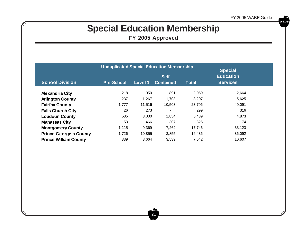## **Special Education Membership**

**FY 2005 Approved**

| <b>Unduplicated Special Education Membership</b><br><b>Special</b> |                   |         |                                 |              |                                     |  |  |  |
|--------------------------------------------------------------------|-------------------|---------|---------------------------------|--------------|-------------------------------------|--|--|--|
| <b>School Division</b>                                             | <b>Pre-School</b> | Level 1 | <b>Self</b><br><b>Contained</b> | <b>Total</b> | <b>Education</b><br><b>Services</b> |  |  |  |
|                                                                    |                   |         |                                 |              |                                     |  |  |  |
| <b>Alexandria City</b>                                             | 218               | 950     | 891                             | 2,059        | 2,664                               |  |  |  |
| <b>Arlington County</b>                                            | 237               | 1,267   | 1,703                           | 3,207        | 5,625                               |  |  |  |
| <b>Fairfax County</b>                                              | 1,777             | 11,516  | 10,503                          | 23,796       | 49,091                              |  |  |  |
| <b>Falls Church City</b>                                           | 26                | 273     |                                 | 299          | 316                                 |  |  |  |
| <b>Loudoun County</b>                                              | 585               | 3.000   | 1.854                           | 5.439        | 4,873                               |  |  |  |
| <b>Manassas City</b>                                               | 53                | 466     | 307                             | 826          | 174                                 |  |  |  |
| <b>Montgomery County</b>                                           | 1,115             | 9,369   | 7,262                           | 17,746       | 33,123                              |  |  |  |
| <b>Prince George's County</b>                                      | 1,726             | 10,855  | 3,855                           | 16,436       | 36,092                              |  |  |  |
| <b>Prince William County</b>                                       | 339               | 3.664   | 3,539                           | 7.542        | 10,607                              |  |  |  |

**wabe**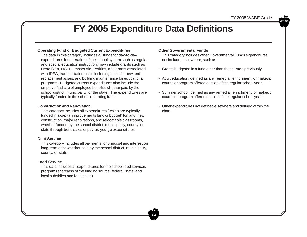### **FY 2005 Expenditure Data Definitions**

#### **Operating Fund or Budgeted Current Expenditures**

The data in this category includes all funds for day-to-day expenditures for operation of the school system such as regular and special education instruction; may include grants such as Head Start, NCLB, Impact Aid, Perkins, and grants associated with IDEA; transportation costs including costs for new and replacement buses; and building maintenance for educational programs. Budgeted current expenditures also include the employer's share of employee benefits whether paid by the school district, municipality, or the state. The expenditures are typically funded in the school operating fund.

#### **Construction and Renovation**

This category includes all expenditures (which are typically funded in a capital improvements fund or budget) for land, new construction, major renovations, and relocatable classrooms, whether funded by the school district, municipality, county, or state through bond sales or pay-as-you-go expenditures.

#### **Debt Service**

This category includes all payments for principal and interest on long-term debt whether paid by the school district, municipality, county, or state.

#### **Food Service**

This data includes all expenditures for the school food services program regardless of the funding source (federal, state, and local subsidies and food sales).

#### **Other Governmental Funds**

This category includes other Governmental Funds expenditures not included elsewhere, such as:

- Grants budgeted in a fund other than those listed previously.
- Adult education, defined as any remedial, enrichment, or makeup course or program offered outside of the regular school year.
- Summer school, defined as any remedial, enrichment, or makeup course or program offered outside of the regular school year.
- Other expenditures not defined elsewhere and defined within the chart.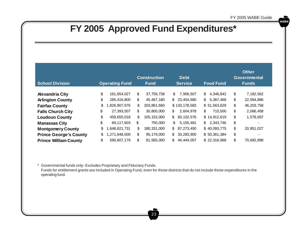## **FY 2005 Approved Fund Expenditures\***

| <b>School Division</b>        | <b>Operating Fund</b> | <b>Construction</b><br><b>Fund</b> | <b>Debt</b><br><b>Service</b> | <b>Food Fund</b> | <b>Other</b><br><b>Governmental</b><br><b>Funds</b> |
|-------------------------------|-----------------------|------------------------------------|-------------------------------|------------------|-----------------------------------------------------|
| <b>Alexandria City</b>        | \$<br>161,654,027     | \$<br>37,759,738                   | S<br>7.906.507                | \$<br>4.346.842  | \$<br>7,182,562                                     |
| <b>Arlington County</b>       | \$<br>285,416,800     | \$<br>45,467,180                   | \$<br>23,454,680              | \$<br>5,367,468  | \$<br>22,594,886                                    |
| <b>Fairfax County</b>         | \$<br>,826,907,976    | 203,861,660<br>\$                  | \$133,178,583                 | \$51,563,629     | \$<br>46,203,758                                    |
| <b>Falls Church City</b>      | \$<br>27,393,507      | \$<br>30,800,000                   | \$<br>2.604.978               | \$<br>710,500    | \$<br>2,066,458                                     |
| <b>Loudoun County</b>         | \$<br>459,655,018     | 105, 153, 000<br>\$                | \$<br>83, 102, 576            | \$14,912,619     | \$<br>1,578,697                                     |
| <b>Manassas City</b>          | \$<br>69,117,603      | \$<br>750,000                      | \$<br>5, 155, 481             | \$2,343,746      | \$                                                  |
| <b>Montgomery County</b>      | \$<br>,648,621,731    | \$<br>180,331,000                  | 87,273,450<br>\$              | \$40,093,775     | \$<br>20,951,027                                    |
| <b>Prince George's County</b> | \$<br>,271,648,500    | \$<br>95,179,000                   | 33,283,900<br>\$              | \$50,361,384     | \$<br>$\overline{\phantom{a}}$                      |
| <b>Prince William County</b>  | \$<br>590,607,179     | \$<br>81,565,000                   | \$<br>44,444,057              | \$22,316,968     | \$<br>70,692,898                                    |

\* Governmental funds only- Excludes Proprietary and Fiduciary Funds. Funds for entitlement grants are included in Operating Fund, even for those districts that do not include those expenditures in the operating fund.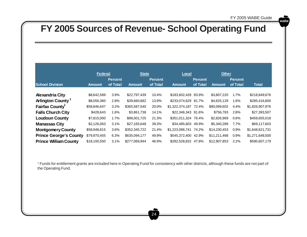### **FY 2005 Sources of Revenue- School Operating Fund**

|                               | <b>Federal</b> |                | <b>State</b>  |                | Local                 |                | <b>Other</b>  |                |                 |
|-------------------------------|----------------|----------------|---------------|----------------|-----------------------|----------------|---------------|----------------|-----------------|
|                               |                | <b>Percent</b> |               | <b>Percent</b> |                       | <b>Percent</b> |               | <b>Percent</b> |                 |
| <b>School Division</b>        | <b>Amount</b>  | of Total       | <b>Amount</b> | of Total       | <b>Amount</b>         | of Total       | <b>Amount</b> | of Total       | <b>Total</b>    |
| <b>Alexandria City</b>        | \$8,642,589    | 3.9%           | \$22,797,439  | 10.4%          | \$183,602,428 83.9%   |                | \$3,807,220   | 1.7%           | \$218,849,676   |
| Arlington County <sup>1</sup> | \$8,056,360    | 2.8%           | \$39,660,682  | 13.9%          | \$233,074,629 81.7%   |                | \$4,625,129   | 1.6%           | \$285,416,800   |
| Fairfax County <sup>1</sup>   | \$58,846,647   | 3.2%           | \$365,587,540 | 20.0%          | \$1,322,374,187 72.4% |                | \$80,099,602  | 4.4%           | \$1,826,907,976 |
| <b>Falls Church City</b>      | \$428,643      | 1.6%           | \$3,861,738   | 14.1%          | \$22,346,343 81.6%    |                | \$756.783     | 2.8%           | \$27,393,507    |
| <b>Loudoun County</b>         | \$7,815,000    | 1.7%           | \$98,001,725  | 21.3%          | \$351,011,324 76.4%   |                | \$2,826,969   | 0.6%           | \$459,655,018   |
| <b>Manassas City</b>          | \$2,126,063    | 3.1%           | \$27,165,648  | 39.3%          | \$34,485,603 49.9%    |                | \$5,340,289   | 7.7%           | \$69,117,603    |
| <b>Montgomery County</b>      | \$58,948,815   | 3.6%           | \$352,345,722 | 21.4%          | \$1,223,096,741       | 74.2%          | \$14,230,453  | 0.9%           | \$1,648,621,731 |
| <b>Prince George's County</b> | \$79,970,455   | 6.3%           | \$635,094,177 | 49.9%          | \$545,372,400         | 42.9%          | \$11,211,468  | 0.9%           | \$1,271,648,500 |
| <b>Prince William County</b>  | \$18,100,550   | 3.1%           | \$277,069,944 | 46.9%          | \$282,528,832 47.8%   |                | \$12,907,853  | 2.2%           | \$590,607,179   |

1 Funds for entitlement grants are included here in Operating Fund for consistency with other districts, although these funds are not part of the Operating Fund.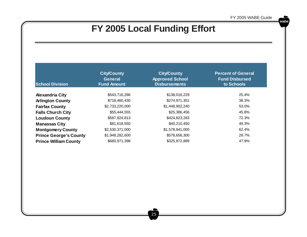### **FY 2005 Local Funding Effort**

| <b>School Division</b>        | <b>City/County</b><br><b>General</b><br><b>Fund Amount</b> | <b>City/County</b><br><b>Approved School</b><br><b>Disbursements</b> | <b>Percent of General</b><br><b>Fund Disbursed</b><br>to Schools |
|-------------------------------|------------------------------------------------------------|----------------------------------------------------------------------|------------------------------------------------------------------|
| <b>Alexandria City</b>        | \$543,716,286                                              | \$138,016,229                                                        | 25.4%                                                            |
| <b>Arlington County</b>       | \$718,460,430                                              | \$274,971,351                                                        | 38.3%                                                            |
| <b>Fairfax County</b>         | \$2,733,220,000                                            | \$1,448,902,240                                                      | 53.0%                                                            |
| <b>Falls Church City</b>      | \$55,444,555                                               | \$25,386,456                                                         | 45.8%                                                            |
| <b>Loudoun County</b>         | \$587,824,813                                              | \$424,823,283                                                        | 72.3%                                                            |
| <b>Manassas City</b>          | \$81,618,550                                               | \$40,210,450                                                         | 49.3%                                                            |
| <b>Montgomery County</b>      | \$2,530,371,000                                            | \$1,578,941,000                                                      | 62.4%                                                            |
| <b>Prince George's County</b> | \$1,948,282,600                                            | \$578,656,300                                                        | 29.7%                                                            |
| <b>Prince William County</b>  | \$680,971,398                                              | \$325,872,889                                                        | 47.9%                                                            |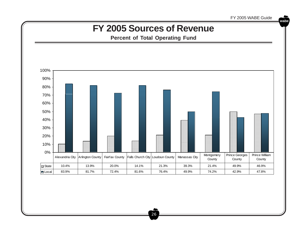

### **FY 2005 Sources of Revenue**

**Percent of Total Operating Fund**

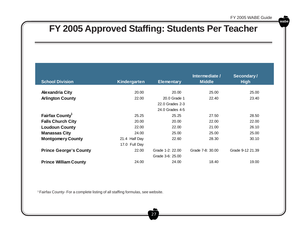### **FY 2005 Approved Staffing: Students Per Teacher**

| <b>School Division</b>        | Kindergarten  | <b>Elementary</b> | Intermediate /<br><b>Middle</b> | Secondary/<br><b>High</b> |
|-------------------------------|---------------|-------------------|---------------------------------|---------------------------|
| <b>Alexandria City</b>        | 20.00         | 20.00             | 25.00                           | 25.00                     |
|                               |               |                   |                                 |                           |
| <b>Arlington County</b>       | 22.00         | 20.0 Grade 1      | 22.40                           | 23.40                     |
|                               |               | 22.0 Grades 2-3   |                                 |                           |
|                               |               | 24.0 Grades 4-5   |                                 |                           |
| Fairfax County <sup>1</sup>   | 25.25         | 25.25             | 27.50                           | 28.50                     |
| <b>Falls Church City</b>      | 20.00         | 20.00             | 22.00                           | 22.00                     |
| <b>Loudoun County</b>         | 22.00         | 22.00             | 21.00                           | 26.10                     |
| <b>Manassas City</b>          | 24.00         | 25.00             | 25.00                           | 25.00                     |
| <b>Montgomery County</b>      | 21.4 Half Day | 22.60             | 28.30                           | 30.10                     |
|                               | 17.0 Full Day |                   |                                 |                           |
| <b>Prince George's County</b> | 22.00         | Grade 1-2: 22.00  | Grade 7-8: 30.00                | Grade 9-12 21.39          |
|                               |               | Grade 3-6: 25.00  |                                 |                           |
| <b>Prince William County</b>  | 24.00         | 24.00             | 18.40                           | 19.00                     |

1 Fairfax County- For a complete listing of all staffing formulas, see website.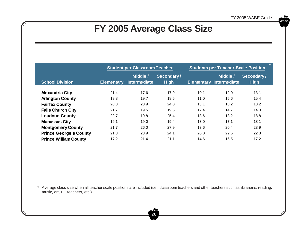### **FY 2005 Average Class Size**

|                               | <b>Student per Classroom Teacher</b> |                          |                           | <b>Students per Teacher-Scale Position</b> |                                            |                           |
|-------------------------------|--------------------------------------|--------------------------|---------------------------|--------------------------------------------|--------------------------------------------|---------------------------|
| <b>School Division</b>        | <b>Elementary</b>                    | Middle /<br>Intermediate | Secondary/<br><b>High</b> |                                            | Middle /<br><b>Elementary Intermediate</b> | Secondary/<br><b>High</b> |
| <b>Alexandria City</b>        | 21.4                                 | 17.6                     | 17.9                      | 10.1                                       | 12.0                                       | 13.1                      |
| <b>Arlington County</b>       | 19.8                                 | 19.7                     | 18.5                      | 11.0                                       | 15.6                                       | 15.4                      |
| <b>Fairfax County</b>         | 20.8                                 | 23.9                     | 24.0                      | 13.1                                       | 18.2                                       | 18.2                      |
| <b>Falls Church City</b>      | 21.7                                 | 19.5                     | 19.5                      | 12.4                                       | 14.7                                       | 14.0                      |
| <b>Loudoun County</b>         | 22.7                                 | 19.8                     | 25.4                      | 13.6                                       | 13.2                                       | 18.8                      |
| <b>Manassas City</b>          | 19.1                                 | 19.0                     | 19.4                      | 13.0                                       | 17.1                                       | 18.1                      |
| <b>Montgomery County</b>      | 21.7                                 | 26.0                     | 27.9                      | 13.6                                       | 20.4                                       | 23.9                      |
| <b>Prince George's County</b> | 21.3                                 | 23.9                     | 24.1                      | 20.0                                       | 22.6                                       | 22.3                      |
| <b>Prince William County</b>  | 17.2                                 | 21.4                     | 21.1                      | 14.6                                       | 16.5                                       | 17.2                      |

\* Average class size when all teacher scale positions are included (i.e., classroom teachers and other teachers such as librarians, reading, music, art, PE teachers, etc.)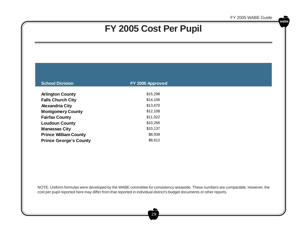### **FY 2005 Cost Per Pupil**

| <b>School Division</b>                              | FY 2005 Approved |
|-----------------------------------------------------|------------------|
|                                                     | \$15,298         |
| <b>Arlington County</b><br><b>Falls Church City</b> | \$14,106         |
| <b>Alexandria City</b>                              | \$13,670         |
| <b>Montgomery County</b>                            | \$12,108         |
| <b>Fairfax County</b>                               | \$11,022         |
| <b>Loudoun County</b>                               | \$10,266         |
| <b>Manassas City</b>                                | \$10,137         |
| <b>Prince William County</b>                        | \$8,939          |
| <b>Prince George's County</b>                       | \$8,612          |

NOTE: Uniform formulas were developed by the WABE committee for consistency areawide. These numbers are comparable. However, the cost per pupil reported here may differ from that reported in individual district's budget documents or other reports.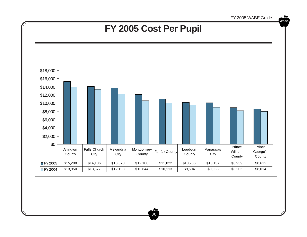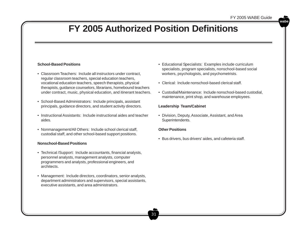### **FY 2005 Authorized Position Definitions**

#### **School-Based Positions**

- Classroom Teachers: Include all instructors under contract, regular classroom teachers, special education teachers, vocational education teachers, speech therapists, physical therapists, guidance counselors, librarians, homebound teachers under contract, music, physical education, and itinerant teachers.
- School-Based Administrators: Include principals, assistant principals, guidance directors, and student activity directors.
- Instructional Assistants: Include instructional aides and teacher aides.
- Nonmanagement/All Others: Include school clerical staff, custodial staff, and other school-based support positions.

#### **Nonschool-Based Positions**

- Technical /Support: Include accountants, financial analysts, personnel analysts, management analysts, computer programmers and analysts, professional engineers, and architects.
- Management: Include directors, coordinators, senior analysts, department administrators and supervisors, special assistants, executive assistants, and area administrators.
- Educational Specialists: Examples include curriculum specialists, program specialists, nonschool-based social workers, psychologists, and psychometrists.
- Clerical: Include nonschool-based clerical staff.
- Custodial/Maintenance: Include nonschool-based custodial, maintenance, print shop, and warehouse employees.

#### **Leadership Team/Cabinet**

• Division, Deputy, Associate, Assistant, and Area Superintendents.

#### **Other Positions**

• Bus drivers, bus drivers' aides, and cafeteria staff.

31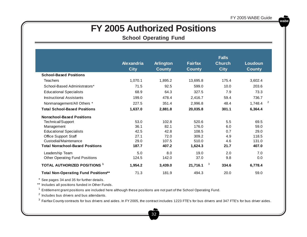### **FY 2005 Authorized Positions**

### **School Operating Fund**

|                                             | <b>Alexandria</b><br><b>City</b> | <b>Arlington</b><br><b>County</b> | <b>Fairfax</b><br><b>County</b> | <b>Falls</b><br><b>Church</b><br><b>City</b> | Loudoun<br><b>County</b>  |
|---------------------------------------------|----------------------------------|-----------------------------------|---------------------------------|----------------------------------------------|---------------------------|
| <b>School-Based Positions</b>               |                                  |                                   |                                 |                                              |                           |
| <b>Teachers</b>                             | 1,070.1                          | 1,895.2                           | 13,695.8                        | 175.4                                        | 3,602.4                   |
| School-Based Administrators*                | 71.5                             | 92.5                              | 599.0                           | 10.0                                         | 203.6                     |
| <b>Educational Specialists</b>              | 68.9                             | 64.3                              | 327.5                           | 7.9                                          | 73.3                      |
| <b>Instructional Assistants</b>             | 199.0                            | 478.4                             | 2,416.7                         | 59.4                                         | 736.7                     |
| Nonmanagement/All Others *                  | 227.5                            | 351.4                             | 2,996.8                         | 48.4                                         | $\overline{2}$<br>1,748.4 |
| <b>Total School-Based Positions</b>         | 1,637.0                          | 2,881.8                           | 20,035.8                        | 301.1                                        | 6,364.4                   |
| <b>Nonschool-Based Positions</b>            |                                  |                                   |                                 |                                              |                           |
| Technical/Support                           | 53.0                             | 102.8                             | 520.6                           | 5.5                                          | 69.5                      |
| Management                                  | 36.1                             | 82.1                              | 176.0                           | 6.0                                          | 59.0                      |
| <b>Educational Specialists</b>              | 42.5                             | 42.8                              | 108.5                           | 0.7                                          | 29.0                      |
| <b>Office Support Staff</b>                 | 27.1                             | 72.0                              | 309.2                           | 4.9                                          | 118.5                     |
| Custodial/Maintenance                       | 29.0                             | 107.5                             | 510.0                           | 4.6                                          | 131.0                     |
| <b>Total Nonschool-Based Positions</b>      | 187.7                            | 407.2                             | 1,624.3                         | 21.7                                         | 407.0                     |
| Leadership Team                             | 5.0                              | 8.0                               | 19.0                            | 2.0                                          | 7.0                       |
| <b>Other Operating Fund Positions</b>       | 124.5                            | 142.0                             | 37.0                            | 9.8                                          | 0.0                       |
| TOTAL AUTHORIZED POSITIONS 1                | 1,954.2                          | 3,439.0                           | 3<br>21,716.1                   | 334.6                                        | 6,778.4                   |
| <b>Total Non-Operating Fund Positions**</b> | 71.3                             | 181.9                             | 494.3                           | 20.0                                         | 59.0                      |

\* See pages 34 and 35 for further details.

\*\* Includes all positions funded in Other Funds.

 $^{\rm 1}$  Entitlement grant positions are included here although these positions are not part of the School Operating Fund.

<sup>2</sup> Includes bus drivers and bus attendants.

 $3$  Fairfax County contracts for bus drivers and aides. In FY 2005, the contract includes 1223 FTE's for bus drivers and 347 FTE's for bus driver aides.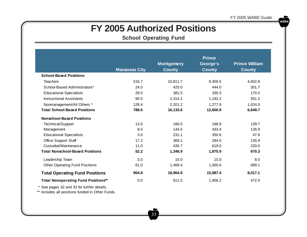### **FY 2005 Authorized Positions**

**School Operating Fund**

|                                                                                                                                                                                                                                                                | <b>Manassas City</b> | <b>Montgomery</b><br><b>County</b> | <b>Prince</b><br>George's<br><b>County</b> | <b>Prince William</b><br><b>County</b> |
|----------------------------------------------------------------------------------------------------------------------------------------------------------------------------------------------------------------------------------------------------------------|----------------------|------------------------------------|--------------------------------------------|----------------------------------------|
| <b>School-Based Positions</b>                                                                                                                                                                                                                                  |                      |                                    |                                            |                                        |
| <b>Teachers</b>                                                                                                                                                                                                                                                | 516.7                | 10,811.7                           | 9,356.5                                    | 4,602.8                                |
| School-Based Administrators*                                                                                                                                                                                                                                   | 24.0                 | 425.0                              | 444.0                                      | 301.7                                  |
| <b>Educational Specialists</b>                                                                                                                                                                                                                                 | 29.0                 | 381.5                              | 330.3                                      | 170.0                                  |
| <b>Instructional Assistants</b>                                                                                                                                                                                                                                | 90.5                 | 2,314.2                            | 1,192.2                                    | 551.2                                  |
| Nonmanagement/All Others *                                                                                                                                                                                                                                     | 128.4                | 2,201.2                            | 1,277.9                                    | 1,024.0                                |
| <b>Total School-Based Positions</b>                                                                                                                                                                                                                            | 788.6                | 16,133.6                           | 12,600.9                                   | 6,649.7                                |
| <b>Nonschool-Based Positions</b>                                                                                                                                                                                                                               |                      |                                    |                                            |                                        |
| Technical/Support                                                                                                                                                                                                                                              | 13.0                 | 166.5                              | 188.9                                      | 139.7                                  |
| Management                                                                                                                                                                                                                                                     | 8.0                  | 144.5                              | 433.4                                      | 126.9                                  |
| <b>Educational Specialists</b>                                                                                                                                                                                                                                 | 3.0                  | 231.1                              | 350.6                                      | 47.8                                   |
| Office Support Staff                                                                                                                                                                                                                                           | 17.2                 | 369.1                              | 284.0                                      | 135.9                                  |
| Custodial/Maintenance                                                                                                                                                                                                                                          | 11.0                 | 435.7                              | 619.0                                      | 220.0                                  |
| <b>Total Nonschool-Based Positions</b>                                                                                                                                                                                                                         | 52.2                 | 1,346.9                            | 1,875.9                                    | 670.3                                  |
| Leadership Team                                                                                                                                                                                                                                                | 3.0                  | 15.0                               | 10.0                                       | 8.0                                    |
| <b>Other Operating Fund Positions</b>                                                                                                                                                                                                                          | 61.0                 | 1,469.4                            | 1,500.6                                    | 689.1                                  |
| <b>Total Operating Fund Positions</b>                                                                                                                                                                                                                          | 904.8                | 18,964.9                           | 15,987.4                                   | 8,017.1                                |
| <b>Total Nonoperating Fund Positions**</b>                                                                                                                                                                                                                     | 0.0                  | 611.5                              | 1,406.2                                    | 472.9                                  |
| $\ddot{z}$ and $\ddot{z}$ and $\ddot{z}$ and $\ddot{z}$ and $\ddot{z}$ and $\ddot{z}$ and $\ddot{z}$ and $\ddot{z}$ and $\ddot{z}$ and $\ddot{z}$ and $\ddot{z}$ and $\ddot{z}$ and $\ddot{z}$ and $\ddot{z}$ and $\ddot{z}$ and $\ddot{z}$ and $\ddot{z}$ and |                      |                                    |                                            |                                        |

\*See pages 32 and 33 for further details.

\*\* Includes all positions funded in Other Funds.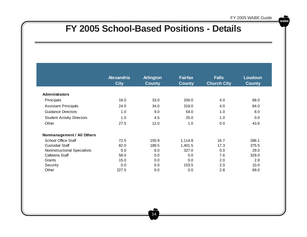### **FY 2005 School-Based Positions - Details**

|                                   | <b>Alexandria</b> | <b>Arlington</b> | <b>Fairfax</b> | <b>Falls</b>       | Loudoun       |
|-----------------------------------|-------------------|------------------|----------------|--------------------|---------------|
|                                   | <b>City</b>       | <b>County</b>    | <b>County</b>  | <b>Church City</b> | <b>County</b> |
|                                   |                   |                  |                |                    |               |
| <b>Administrators</b>             |                   |                  |                |                    |               |
| Principals                        | 18.0              | 33.0             | 200.0          | 4.0                | 68.0          |
| <b>Assistant Principals</b>       | 24.0              | 34.0             | 319.0          | 4.0                | 84.0          |
| <b>Guidance Directors</b>         | 1.0               | 9.0              | 54.0           | 1.0                | 8.0           |
| <b>Student Activity Directors</b> | 1.0               | 4.5              | 25.0           | 1.0                | 0.0           |
| Other                             | 27.5              | 12.0             | 1.0            | 0.0                | 43.6          |
| Nonmanagement / All Others        |                   |                  |                |                    |               |
| School Office Staff               | 72.5              | 155.9            | 1,114.8        | 16.7               | 286.1         |
| <b>Custodial Staff</b>            | 82.0              | 189.5            | 1,401.5        | 17.3               | 375.5         |
| Noninstructional Specialists      | 0.0               | 6.0              | 327.0          | 0.0                | 29.0          |
| Cafeteria Staff                   | 58.0              | 0.0              | 0.0            | 7.6                | 329.0         |
| Grants                            | 15.0              | 0.0              | 0.0            | 2.0                | 2.8           |
| Security                          | 0.0               | 0.0              | 153.5          | 2.0                | 10.0          |
| Other                             | 227.5             | 0.0              | 0.0            | 2.8                | 69.0          |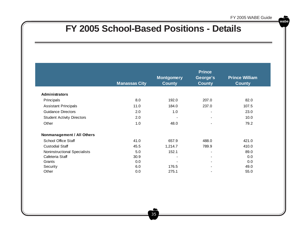### **FY 2005 School-Based Positions - Details**

|                                   | <b>Manassas City</b> | <b>Montgomery</b><br><b>County</b> | <b>Prince</b><br>George's<br><b>County</b> | <b>Prince William</b><br><b>County</b> |
|-----------------------------------|----------------------|------------------------------------|--------------------------------------------|----------------------------------------|
| <b>Administrators</b>             |                      |                                    |                                            |                                        |
| Principals                        | 8.0                  | 192.0                              | 207.0                                      | 82.0                                   |
| <b>Assistant Principals</b>       | 11.0                 | 184.0                              | 237.0                                      | 107.5                                  |
| <b>Guidance Directors</b>         | 2.0                  | 1.0                                | $\blacksquare$                             | 23.0                                   |
| <b>Student Activity Directors</b> | 2.0                  | $\blacksquare$                     | $\blacksquare$                             | 10.0                                   |
| Other                             | 1.0                  | 48.0                               | -                                          | 79.2                                   |
| Nonmanagement / All Others        |                      |                                    |                                            |                                        |
| School Office Staff               | 41.0                 | 657.9                              | 488.0                                      | 421.0                                  |
| <b>Custodial Staff</b>            | 45.5                 | 1,214.7                            | 789.9                                      | 410.0                                  |
| Noninstructional Specialists      | 5.0                  | 152.1                              | $\blacksquare$                             | 89.0                                   |
| Cafeteria Staff                   | 30.9                 |                                    |                                            | 0.0                                    |
| Grants                            | 0.0                  | $\blacksquare$                     | $\blacksquare$                             | 0.0                                    |
| Security                          | 6.0                  | 176.5                              | $\blacksquare$                             | 49.0                                   |
| Other                             | 0.0                  | 275.1                              | $\blacksquare$                             | 55.0                                   |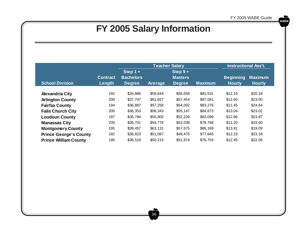## **FY 2005 Salary Information**

|                                                     |                                                 |          |                                              | <b>Teacher Salary</b> |                                   | <b>Instructional Ass't.</b>     |         |
|-----------------------------------------------------|-------------------------------------------------|----------|----------------------------------------------|-----------------------|-----------------------------------|---------------------------------|---------|
| <b>Contract</b><br><b>School Division</b><br>Length | Step $1 +$<br><b>Bachelors</b><br><b>Degree</b> | Average  | Step $9+$<br><b>Masters</b><br><b>Degree</b> | <b>Maximum</b>        | <b>Beginning</b><br><b>Hourly</b> | <b>Maximum</b><br><b>Hourly</b> |         |
|                                                     |                                                 |          |                                              |                       |                                   |                                 |         |
| <b>Alexandria City</b>                              | 192                                             | \$34,866 | \$59,644                                     | \$56,658              | \$81,531                          | \$12.19                         | \$20.19 |
| <b>Arlington County</b>                             | 200                                             | \$37,747 | \$61,827                                     | \$57,454              | \$87,061                          | \$12.60                         | \$23.00 |
| <b>Fairfax County</b>                               | 194                                             | \$36,887 | \$57,258                                     | \$54,002              | \$83,276                          | \$11.45                         | \$24.64 |
| <b>Falls Church City</b>                            | 200                                             | \$36,353 | \$56,343                                     | \$55,147              | \$84,673                          | \$13.04                         | \$23.02 |
| <b>Loudoun County</b>                               | 197                                             | \$35,784 | \$55,805                                     | \$52,226              | \$83,099                          | \$12.86                         | \$23.87 |
| <b>Manassas City</b>                                | 200                                             | \$36,701 | \$54,778                                     | \$52,038              | \$76,768                          | \$11.20                         | \$19.60 |
| <b>Montgomery County</b>                            | 195                                             | \$39,457 | \$63,131                                     | \$57,575              | \$86,169                          | \$13.91                         | \$19.09 |
| <b>Prince George's County</b>                       | 192                                             | \$36,823 | \$51,087                                     | \$49,475              | \$77,645                          | \$12.23                         | \$23.18 |
| <b>Prince William County</b>                        | 195                                             | \$36,519 | \$50,215                                     | \$51,974              | \$76.754                          | \$12.45                         | \$22.06 |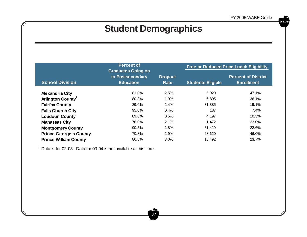### **Student Demographics**

|                               | <b>Percent of</b><br><b>Graduates Going on</b> |                        |                          | <b>Free or Reduced Price Lunch Eligibility</b>  |
|-------------------------------|------------------------------------------------|------------------------|--------------------------|-------------------------------------------------|
| <b>School Division</b>        | to Postsecondary<br><b>Education</b>           | <b>Dropout</b><br>Rate | <b>Students Eligible</b> | <b>Percent of District</b><br><b>Enrollment</b> |
| <b>Alexandria City</b>        | 81.0%                                          | 2.5%                   | 5,020                    | 47.1%                                           |
| Arlington County <sup>1</sup> | 80.3%                                          | 1.9%                   | 6,895                    | 36.1%                                           |
| <b>Fairfax County</b>         | 89.0%                                          | 2.4%                   | 31,885                   | 19.1%                                           |
| <b>Falls Church City</b>      | 95.0%                                          | 0.4%                   | 137                      | 7.4%                                            |
| <b>Loudoun County</b>         | 89.6%                                          | 0.5%                   | 4,197                    | 10.3%                                           |
| <b>Manassas City</b>          | 76.0%                                          | 2.1%                   | 1,472                    | 23.0%                                           |
| <b>Montgomery County</b>      | 90.3%                                          | 1.8%                   | 31,419                   | 22.6%                                           |
| <b>Prince George's County</b> | 70.8%                                          | 2.9%                   | 68,620                   | 46.0%                                           |
| <b>Prince William County</b>  | 86.5%                                          | 3.0%                   | 15.492                   | 23.7%                                           |

 $1$  Data is for 02-03. Data for 03-04 is not available at this time.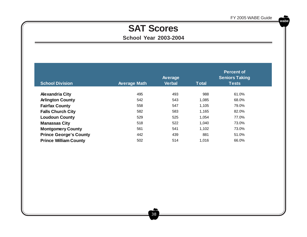### **SAT Scores**

### **School Year 2003-2004**

|                               |                     | Average       |              | <b>Percent of</b><br><b>Seniors Taking</b> |  |
|-------------------------------|---------------------|---------------|--------------|--------------------------------------------|--|
| <b>School Division</b>        | <b>Average Math</b> | <b>Verbal</b> | <b>Total</b> | <b>Tests</b>                               |  |
| <b>Alexandria City</b>        | 495                 | 493           | 988          | 61.0%                                      |  |
| <b>Arlington County</b>       | 542                 | 543           | 1,085        | 68.0%                                      |  |
| <b>Fairfax County</b>         | 558                 | 547           | 1,105        | 79.0%                                      |  |
| <b>Falls Church City</b>      | 582                 | 583           | 1,165        | 82.0%                                      |  |
| <b>Loudoun County</b>         | 529                 | 525           | 1,054        | 77.0%                                      |  |
| <b>Manassas City</b>          | 518                 | 522           | 1,040        | 73.0%                                      |  |
| <b>Montgomery County</b>      | 561                 | 541           | 1,102        | 73.0%                                      |  |
| <b>Prince George's County</b> | 442                 | 439           | 881          | 51.0%                                      |  |
| <b>Prince William County</b>  | 502                 | 514           | 1.016        | 66.0%                                      |  |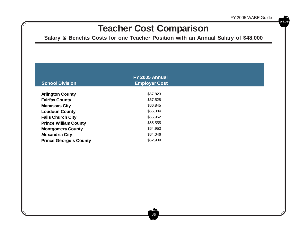### **Teacher Cost Comparison**

**Salary & Benefits Costs for one Teacher Position with an Annual Salary of \$48,000**

|                                               | FY 2005 Annual       |  |
|-----------------------------------------------|----------------------|--|
| <b>School Division</b>                        | <b>Employer Cost</b> |  |
|                                               | \$67,823             |  |
| <b>Arlington County</b>                       | \$67,528             |  |
| <b>Fairfax County</b><br><b>Manassas City</b> | \$66,845             |  |
|                                               | \$66,384             |  |
| <b>Loudoun County</b>                         | \$65,952             |  |
| <b>Falls Church City</b>                      | \$65,555             |  |
| <b>Prince William County</b>                  | \$64,953             |  |
| <b>Montgomery County</b>                      | \$64,046             |  |
| <b>Alexandria City</b>                        | \$62,939             |  |
| <b>Prince George's County</b>                 |                      |  |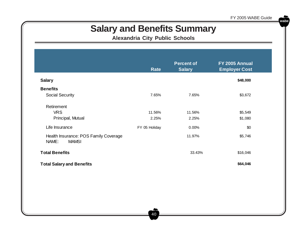### **Salary and Benefits Summary**

**Alexandria City Public Schools**

|                                                                | <b>Rate</b>   | <b>Percent of</b><br><b>Salary</b> | FY 2005 Annual<br><b>Employer Cost</b> |
|----------------------------------------------------------------|---------------|------------------------------------|----------------------------------------|
| <b>Salary</b>                                                  |               |                                    | \$48,000                               |
| <b>Benefits</b>                                                |               |                                    |                                        |
| <b>Social Security</b>                                         | 7.65%         | 7.65%                              | \$3,672                                |
| Retirement                                                     |               |                                    |                                        |
| <b>VRS</b>                                                     | 11.56%        | 11.56%                             | \$5,549                                |
| Principal, Mutual                                              | 2.25%         | 2.25%                              | \$1,080                                |
| Life Insurance                                                 | FY 05 Holiday | 0.00%                              | \$0                                    |
| Health Insurance: POS Family Coverage<br><b>MAMSI</b><br>NAME: |               | 11.97%                             | \$5,746                                |
| <b>Total Benefits</b>                                          |               | 33.43%                             | \$16,046                               |
| <b>Total Salary and Benefits</b>                               |               |                                    | \$64,046                               |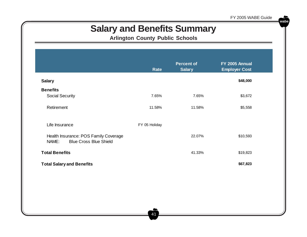### **Salary and Benefits Summary**

**Arlington County Public Schools**

|                                                                                 | Rate          | <b>Percent of</b><br><b>Salary</b> | FY 2005 Annual<br><b>Employer Cost</b> |
|---------------------------------------------------------------------------------|---------------|------------------------------------|----------------------------------------|
| <b>Salary</b>                                                                   |               |                                    | \$48,000                               |
| <b>Benefits</b>                                                                 |               |                                    |                                        |
| <b>Social Security</b>                                                          | 7.65%         | 7.65%                              | \$3,672                                |
| Retirement                                                                      | 11.58%        | 11.58%                             | \$5,558                                |
| Life Insurance                                                                  | FY 05 Holiday |                                    |                                        |
| Health Insurance: POS Family Coverage<br><b>Blue Cross Blue Shield</b><br>NAME: |               | 22.07%                             | \$10,593                               |
| <b>Total Benefits</b>                                                           |               | 41.33%                             | \$19,823                               |
| <b>Total Salary and Benefits</b>                                                |               |                                    | \$67,823                               |
|                                                                                 |               |                                    |                                        |
|                                                                                 |               |                                    |                                        |
|                                                                                 |               |                                    |                                        |

41

**wabe**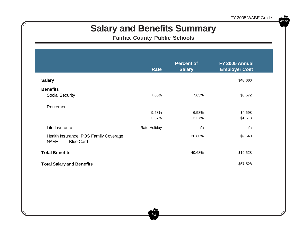### **Salary and Benefits Summary**

**Fairfax County Public Schools**

|                                                                    | Rate         | <b>Percent of</b><br><b>Salary</b> | FY 2005 Annual<br><b>Employer Cost</b> |
|--------------------------------------------------------------------|--------------|------------------------------------|----------------------------------------|
| <b>Salary</b>                                                      |              |                                    | \$48,000                               |
| <b>Benefits</b>                                                    |              |                                    |                                        |
| <b>Social Security</b>                                             | 7.65%        | 7.65%                              | \$3,672                                |
| Retirement                                                         |              |                                    |                                        |
|                                                                    | 9.58%        | 6.58%                              | \$4,598                                |
|                                                                    | 3.37%        | 3.37%                              | \$1,618                                |
| Life Insurance                                                     | Rate Holiday | n/a                                | n/a                                    |
| Health Insurance: POS Family Coverage<br>NAME:<br><b>Blue Card</b> |              | 20.80%                             | \$9,640                                |
| <b>Total Benefits</b>                                              |              | 40.68%                             | \$19,528                               |
| <b>Total Salary and Benefits</b>                                   |              |                                    | \$67,528                               |
|                                                                    |              |                                    |                                        |
|                                                                    |              |                                    |                                        |
|                                                                    |              |                                    |                                        |

42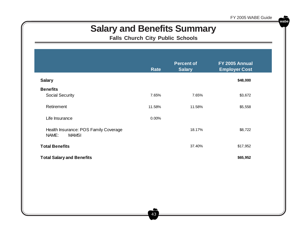## **Salary and Benefits Summary**

**Falls Church City Public Schools**

|                                                                | <b>Rate</b> | <b>Percent of</b><br><b>Salary</b> | FY 2005 Annual<br><b>Employer Cost</b> |
|----------------------------------------------------------------|-------------|------------------------------------|----------------------------------------|
| <b>Salary</b>                                                  |             |                                    | \$48,000                               |
| <b>Benefits</b>                                                |             |                                    |                                        |
| <b>Social Security</b>                                         | 7.65%       | 7.65%                              | \$3,672                                |
| Retirement                                                     | 11.58%      | 11.58%                             | \$5,558                                |
| Life Insurance                                                 | 0.00%       |                                    |                                        |
| Health Insurance: POS Family Coverage<br><b>MAMSI</b><br>NAME: |             | 18.17%                             | \$8,722                                |
| <b>Total Benefits</b>                                          |             | 37.40%                             | \$17,952                               |
| <b>Total Salary and Benefits</b>                               |             |                                    | \$65,952                               |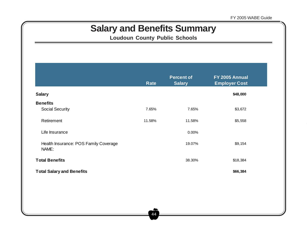### **Salary and Benefits Summary**

**Loudoun County Public Schools**

|                                                | <b>Rate</b> | <b>Percent of</b><br><b>Salary</b> | FY 2005 Annual<br><b>Employer Cost</b> |
|------------------------------------------------|-------------|------------------------------------|----------------------------------------|
| <b>Salary</b>                                  |             |                                    | \$48,000                               |
| <b>Benefits</b>                                |             |                                    |                                        |
| <b>Social Security</b>                         | 7.65%       | 7.65%                              | \$3,672                                |
| Retirement                                     | 11.58%      | 11.58%                             | \$5,558                                |
| Life Insurance                                 |             | 0.00%                              |                                        |
| Health Insurance: POS Family Coverage<br>NAME: |             | 19.07%                             | \$9,154                                |
| <b>Total Benefits</b>                          |             | 38.30%                             | \$18,384                               |
| <b>Total Salary and Benefits</b>               |             |                                    | \$66,384                               |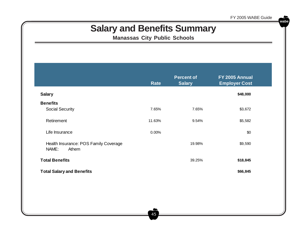### **Salary and Benefits Summary**

**Manassas City Public Schools**

|                                                         | <b>Rate</b> | <b>Percent of</b><br><b>Salary</b> | FY 2005 Annual<br><b>Employer Cost</b> |
|---------------------------------------------------------|-------------|------------------------------------|----------------------------------------|
| <b>Salary</b>                                           |             |                                    | \$48,000                               |
| <b>Benefits</b>                                         |             |                                    |                                        |
| <b>Social Security</b>                                  | 7.65%       | 7.65%                              | \$3,672                                |
| Retirement                                              | 11.63%      | 9.54%                              | \$5,582                                |
| Life Insurance                                          | 0.00%       |                                    | \$0                                    |
| Health Insurance: POS Family Coverage<br>Athem<br>NAME: |             | 19.98%                             | \$9,590                                |
| <b>Total Benefits</b>                                   |             | 39.25%                             | \$18,845                               |
| <b>Total Salary and Benefits</b>                        |             |                                    | \$66,845                               |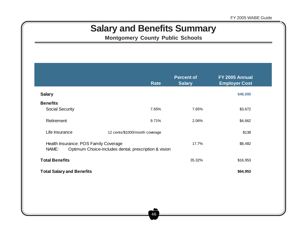### **Salary and Benefits Summary**

**Montgomery County Public Schools**

|                                                                                                         | <b>Rate</b>                    | <b>Percent of</b><br><b>Salary</b> | FY 2005 Annual<br><b>Employer Cost</b> |
|---------------------------------------------------------------------------------------------------------|--------------------------------|------------------------------------|----------------------------------------|
| <b>Salary</b>                                                                                           |                                |                                    | \$48,000                               |
| <b>Benefits</b>                                                                                         |                                |                                    |                                        |
| <b>Social Security</b>                                                                                  | 7.65%                          | 7.65%                              | \$3,672                                |
| Retirement                                                                                              | 9.71%                          | 2.06%                              | \$4,662                                |
| Life Insurance                                                                                          | 12 cents/\$1000/month coverage |                                    | \$138                                  |
| Health Insurance: POS Family Coverage<br>Optimum Choice-includes dental, prescription & vision<br>NAME: |                                | 17.7%                              | \$8,482                                |
| <b>Total Benefits</b>                                                                                   |                                | 35.32%                             | \$16,953                               |
| <b>Total Salary and Benefits</b>                                                                        |                                |                                    | \$64,953                               |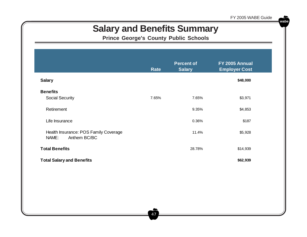## **Salary and Benefits Summary**

**Prince George's County Public Schools**

|                                                                | Rate  | <b>Percent of</b><br><b>Salary</b> | FY 2005 Annual<br><b>Employer Cost</b> |
|----------------------------------------------------------------|-------|------------------------------------|----------------------------------------|
| <b>Salary</b>                                                  |       |                                    | \$48,000                               |
| <b>Benefits</b>                                                |       |                                    |                                        |
| <b>Social Security</b>                                         | 7.65% | 7.65%                              | \$3,971                                |
| Retirement                                                     |       | 9.35%                              | \$4,853                                |
| Life Insurance                                                 |       | 0.36%                              | \$187                                  |
| Health Insurance: POS Family Coverage<br>NAME:<br>Anthem BC/BC |       | 11.4%                              | \$5,928                                |
| <b>Total Benefits</b>                                          |       | 28.78%                             | \$14,939                               |
| <b>Total Salary and Benefits</b>                               |       |                                    | \$62,939                               |
|                                                                |       |                                    |                                        |
|                                                                |       |                                    |                                        |
|                                                                |       |                                    |                                        |

**wabe**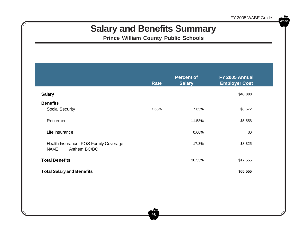### **Salary and Benefits Summary**

**Prince William County Public Schools**

|                                                                | <b>Rate</b> | <b>Percent of</b><br><b>Salary</b> | FY 2005 Annual<br><b>Employer Cost</b> |
|----------------------------------------------------------------|-------------|------------------------------------|----------------------------------------|
| <b>Salary</b>                                                  |             |                                    | \$48,000                               |
| <b>Benefits</b>                                                |             |                                    |                                        |
| <b>Social Security</b>                                         | 7.65%       | 7.65%                              | \$3,672                                |
| Retirement                                                     |             | 11.58%                             | \$5,558                                |
| Life Insurance                                                 |             | 0.00%                              | \$0                                    |
| Health Insurance: POS Family Coverage<br>Anthem BC/BC<br>NAME: |             | 17.3%                              | \$8,325                                |
| <b>Total Benefits</b>                                          |             | 36.53%                             | \$17,555                               |
| <b>Total Salary and Benefits</b>                               |             |                                    | \$65,555                               |